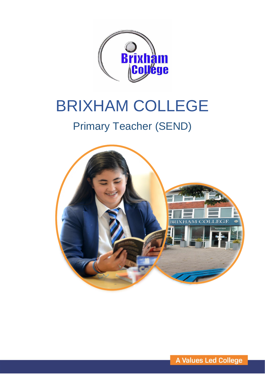

# BRIXHAM COLLEGE

## Primary Teacher (SEND)

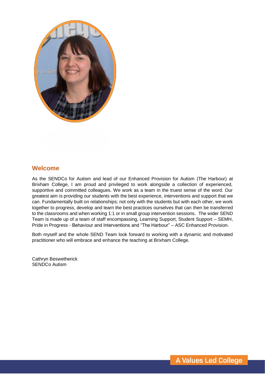

#### **Welcome**

As the SENDCo for Autism and lead of our Enhanced Provision for Autism (The Harbour) at Brixham College, I am proud and privileged to work alongside a collection of experienced, supportive and committed colleagues. We work as a team in the truest sense of the word. Our greatest aim is providing our students with the best experience, interventions and support that we can. Fundamentally built on relationships; not only with the students but with each other, we work together to progress, develop and learn the best practices ourselves that can then be transferred to the classrooms and when working 1:1 or in small group intervention sessions. The wider SEND Team is made up of a team of staff encompassing, Learning Support, Student Support – SEMH, Pride in Progress - Behaviour and Interventions and "The Harbour" – ASC Enhanced Provision.

Both myself and the whole SEND Team look forward to working with a dynamic and motivated practitioner who will embrace and enhance the teaching at Brixham College.

Cathryn Beswetherick SENDCo Autism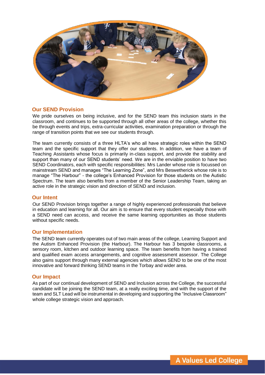

#### **Our SEND Provision**

We pride ourselves on being inclusive, and for the SEND team this inclusion starts in the classroom, and continues to be supported through all other areas of the college, whether this be through events and trips, extra-curricular activities, examination preparation or through the range of transition points that we see our students through.

The team currently consists of a three HLTA's who all have strategic roles within the SEND team and the specific support that they offer our students. In addition, we have a team of Teaching Assistants whose focus is primarily in-class support, and provide the stability and support than many of our SEND students' need. We are in the enviable position to have two SEND Coordinators, each with specific responsibilities: Mrs Lander whose role is focussed on mainstream SEND and manages "The Learning Zone", and Mrs Beswetherick whose role is to manage "The Harbour" - the college's Enhanced Provision for those students on the Autistic Spectrum. The team also benefits from a member of the Senior Leadership Team, taking an active role in the strategic vision and direction of SEND and inclusion.

#### **Our Intent**

Our SEND Provision brings together a range of highly experienced professionals that believe in education and learning for all. Our aim is to ensure that every student especially those with a SEND need can access, and receive the same learning opportunities as those students without specific needs.

#### **Our Implementation**

The SEND team currently operates out of two main areas of the college, Learning Support and the Autism Enhanced Provision (the Harbour). The Harbour has 3 bespoke classrooms, a sensory room, kitchen and outdoor learning space. The team benefits from having a trained and qualified exam access arrangements, and cognitive assessment assessor. The College also gains support through many external agencies which allows SEND to be one of the most innovative and forward thinking SEND teams in the Torbay and wider area.

#### **Our Impact**

As part of our continual development of SEND and Inclusion across the College, the successful candidate will be joining the SEND team, at a really exciting time, and with the support of the team and SLT Lead will be instrumental in developing and supporting the "Inclusive Classroom" whole college strategic vision and approach.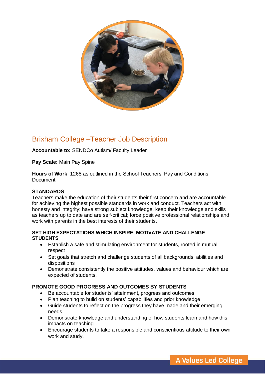

### Brixham College –Teacher Job Description

**Accountable to:** SENDCo Autism/ Faculty Leader

**Pay Scale:** Main Pay Spine

**Hours of Work**: 1265 as outlined in the School Teachers' Pay and Conditions **Document** 

#### **STANDARDS**

Teachers make the education of their students their first concern and are accountable for achieving the highest possible standards in work and conduct. Teachers act with honesty and integrity; have strong subject knowledge, keep their knowledge and skills as teachers up to date and are self-critical; force positive professional relationships and work with parents in the best interests of their students.

#### **SET HIGH EXPECTATIONS WHICH INSPIRE, MOTIVATE AND CHALLENGE STUDENTS**

- Establish a safe and stimulating environment for students, rooted in mutual respect
- Set goals that stretch and challenge students of all backgrounds, abilities and dispositions
- Demonstrate consistently the positive attitudes, values and behaviour which are expected of students.

#### **PROMOTE GOOD PROGRESS AND OUTCOMES BY STUDENTS**

- Be accountable for students' attainment, progress and outcomes
- Plan teaching to build on students' capabilities and prior knowledge
- Guide students to reflect on the progress they have made and their emerging needs
- Demonstrate knowledge and understanding of how students learn and how this impacts on teaching
- Encourage students to take a responsible and conscientious attitude to their own work and study.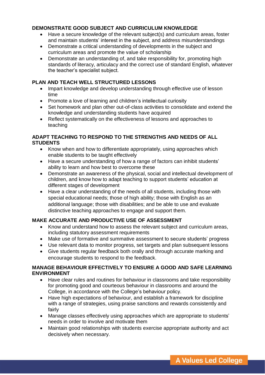#### **DEMONSTRATE GOOD SUBJECT AND CURRICULUM KNOWLEDGE**

- Have a secure knowledge of the relevant subject(s) and curriculum areas, foster and maintain students' interest in the subject, and address misunderstandings
- Demonstrate a critical understanding of developments in the subject and curriculum areas and promote the value of scholarship
- Demonstrate an understanding of, and take responsibility for, promoting high standards of literacy, articulacy and the correct use of standard English, whatever the teacher's specialist subject.

#### **PLAN AND TEACH WELL STRUCTURED LESSONS**

- Impart knowledge and develop understanding through effective use of lesson time
- Promote a love of learning and children's intellectual curiosity
- Set homework and plan other out-of-class activities to consolidate and extend the knowledge and understanding students have acquired
- Reflect systematically on the effectiveness of lessons and approaches to teaching

#### **ADAPT TEACHING TO RESPOND TO THE STRENGTHS AND NEEDS OF ALL STUDENTS**

- Know when and how to differentiate appropriately, using approaches which enable students to be taught effectively
- Have a secure understanding of how a range of factors can inhibit students' ability to learn and how best to overcome these
- Demonstrate an awareness of the physical, social and intellectual development of children, and know how to adapt teaching to support students' education at different stages of development
- Have a clear understanding of the needs of all students, including those with special educational needs; those of high ability; those with English as an additional language; those with disabilities; and be able to use and evaluate distinctive teaching approaches to engage and support them.

#### **MAKE ACCURATE AND PRODUCTIVE USE OF ASSESSMENT**

- Know and understand how to assess the relevant subiect and curriculum areas, including statutory assessment requirements
- Make use of formative and summative assessment to secure students' progress
- Use relevant data to monitor progress, set targets and plan subsequent lessons
- Give students regular feedback both orally and through accurate marking and encourage students to respond to the feedback.

#### **MANAGE BEHAVIOUR EFFECTIVELY TO ENSURE A GOOD AND SAFE LEARNING ENVIRONMENT**

- Have clear rules and routines for behaviour in classrooms and take responsibility for promoting good and courteous behaviour in classrooms and around the College, in accordance with the College's behaviour policy.
- Have high expectations of behaviour, and establish a framework for discipline with a range of strategies, using praise sanctions and rewards consistently and fairly
- Manage classes effectively using approaches which are appropriate to students' needs in order to involve and motivate them
- Maintain good relationships with students exercise appropriate authority and act decisively when necessary.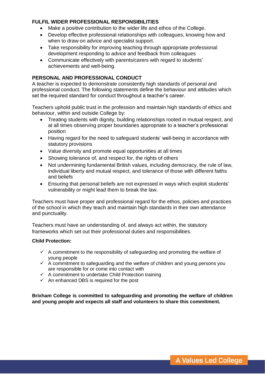#### **FULFIL WIDER PROFESSIONAL RESPONSIBILITIES**

- Make a positive contribution to the wider life and ethos of the College.
- Develop effective professional relationships with colleagues, knowing how and when to draw on advice and specialist support.
- Take responsibility for improving teaching through appropriate professional development responding to advice and feedback from colleagues
- Communicate effectively with parents/carers with regard to students' achievements and well-being.

#### **PERSONAL AND PROFESSIONAL CONDUCT**

A teacher is expected to demonstrate consistently high standards of personal and professional conduct. The following statements define the behaviour and attitudes which set the required standard for conduct throughout a teacher's career.

Teachers uphold public trust in the profession and maintain high standards of ethics and behaviour, within and outside College by:

- Treating students with dignity, building relationships rooted in mutual respect, and at all times observing proper boundaries appropriate to a teacher's professional position
- Having regard for the need to safeguard students' well-being in accordance with statutory provisions
- Value diversity and promote equal opportunities at all times
- Showing tolerance of, and respect for, the rights of others
- Not undermining fundamental British values, including democracy, the rule of law, individual liberty and mutual respect, and tolerance of those with different faiths and beliefs
- Ensuring that personal beliefs are not expressed in ways which exploit students' vulnerability or might lead them to break the law.

Teachers must have proper and professional regard for the ethos, policies and practices of the school in which they teach and maintain high standards in their own attendance and punctuality.

Teachers must have an understanding of, and always act within, the statutory frameworks which set out their professional duties and responsibilities.

#### **Child Protection:**

- $\checkmark$  A commitment to the responsibility of safeguarding and promoting the welfare of young people
- young people<br>A commitment to safeguarding and the welfare of children and young persons you are responsible for or come into contact with
- $\checkmark$  A commitment to undertake Child Protection training
- $\checkmark$  An enhanced DBS is required for the post

**Brixham College is committed to safeguarding and promoting the welfare of children and young people and expects all staff and volunteers to share this commitment.**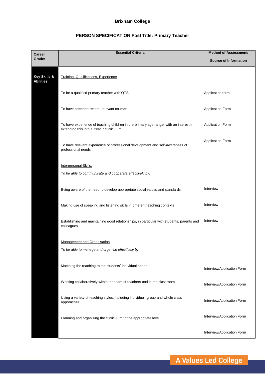#### **Brixham College**

#### **PERSON SPECIFICATION Post Title: Primary Teacher**

| <b>Career</b>                               | <b>Essential Criteria</b>                                                                           | Method of Assessment/        |
|---------------------------------------------|-----------------------------------------------------------------------------------------------------|------------------------------|
| Grade:                                      |                                                                                                     | <b>Source of Information</b> |
|                                             |                                                                                                     |                              |
| <b>Key Skills &amp;</b><br><b>Abilities</b> | Training, Qualifications, Experience                                                                |                              |
|                                             |                                                                                                     |                              |
|                                             | To be a qualified primary teacher with QTS                                                          | Application form             |
|                                             |                                                                                                     |                              |
|                                             | To have attended recent, relevant courses                                                           | Application Form             |
|                                             | To have experience of teaching children in the primary age range, with an interest in               | Application Form             |
|                                             | extending this into a Year 7 curriculum.                                                            |                              |
|                                             |                                                                                                     | Application Form             |
|                                             | To have relevant experience of professional development and self-awareness of<br>professional needs |                              |
|                                             |                                                                                                     |                              |
|                                             | Interpersonal Skills:                                                                               |                              |
|                                             | To be able to communicate and cooperate effectively by:                                             |                              |
|                                             |                                                                                                     |                              |
|                                             | Being aware of the need to develop appropriate social values and standards                          | Interview                    |
|                                             |                                                                                                     |                              |
|                                             | Making use of speaking and listening skills in different teaching contexts                          | Interview                    |
|                                             | Establishing and maintaining good relationships, in particular with students, parents and           | Interview                    |
|                                             | colleagues                                                                                          |                              |
|                                             |                                                                                                     |                              |
|                                             | Management and Organisation                                                                         |                              |
|                                             | To be able to manage and organise effectively by:                                                   |                              |
|                                             | Matching the teaching to the students' individual needs                                             |                              |
|                                             |                                                                                                     | Interview/Application Form   |
|                                             | Working collaboratively within the team of teachers and in the classroom                            |                              |
|                                             |                                                                                                     | Interview/Application Form   |
|                                             | Using a variety of teaching styles, including individual, group and whole class                     | Interview/Application Form   |
|                                             | approaches                                                                                          |                              |
|                                             | Planning and organising the curriculum to the appropriate level                                     | Interview/Application Form   |
|                                             |                                                                                                     |                              |
|                                             |                                                                                                     | Interview/Application Form   |